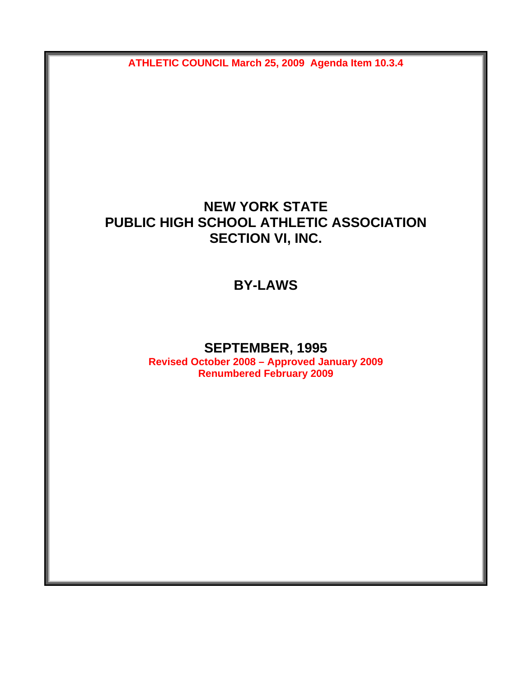**ATHLETIC COUNCIL March 25, 2009 Agenda Item 10.3.4** 

## **NEW YORK STATE PUBLIC HIGH SCHOOL ATHLETIC ASSOCIATION SECTION VI, INC.**

**BY-LAWS** 

## **SEPTEMBER, 1995**

**Revised October 2008 – Approved January 2009 Renumbered February 2009**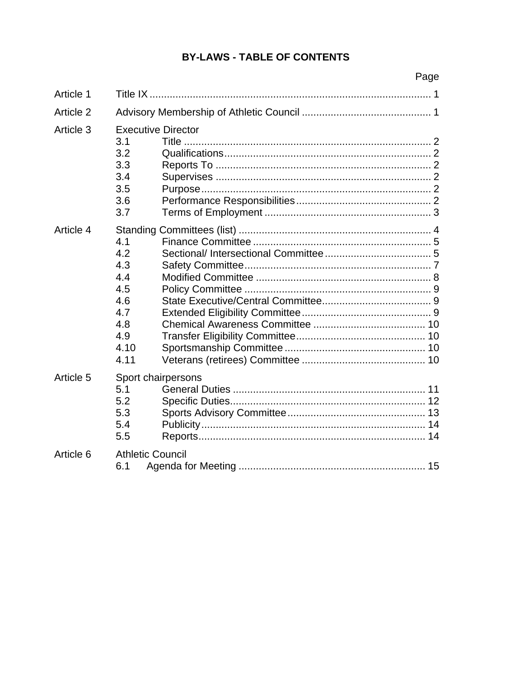## **BY-LAWS - TABLE OF CONTENTS**

|           | Page                                                                                           |
|-----------|------------------------------------------------------------------------------------------------|
| Article 1 |                                                                                                |
| Article 2 |                                                                                                |
| Article 3 | <b>Executive Director</b><br>3.1<br>Title $\ldots$ .<br>3.2<br>3.3<br>3.4<br>3.5<br>3.6<br>3.7 |
| Article 4 | 4.1<br>4.2<br>4.3<br>4.4<br>4.5<br>4.6<br>4.7<br>4.8<br>4.9<br>4.10<br>4.11                    |
| Article 5 | Sport chairpersons<br>5.1<br>5.2<br>5.3<br>5.4<br>5.5                                          |
| Article 6 | <b>Athletic Council</b><br>6.1                                                                 |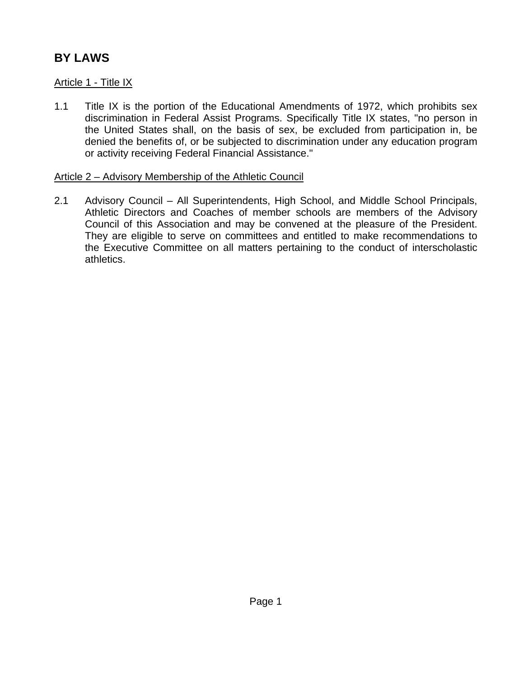# **BY LAWS**

## Article 1 - Title IX

1.1 Title IX is the portion of the Educational Amendments of 1972, which prohibits sex discrimination in Federal Assist Programs. Specifically Title IX states, "no person in the United States shall, on the basis of sex, be excluded from participation in, be denied the benefits of, or be subjected to discrimination under any education program or activity receiving Federal Financial Assistance."

#### Article 2 – Advisory Membership of the Athletic Council

2.1 Advisory Council – All Superintendents, High School, and Middle School Principals, Athletic Directors and Coaches of member schools are members of the Advisory Council of this Association and may be convened at the pleasure of the President. They are eligible to serve on committees and entitled to make recommendations to the Executive Committee on all matters pertaining to the conduct of interscholastic athletics.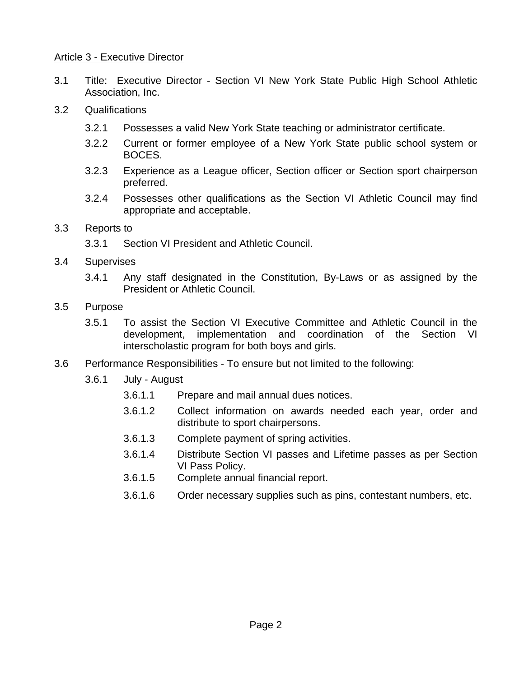#### Article 3 - Executive Director

- 3.1 Title: Executive Director Section VI New York State Public High School Athletic Association, Inc.
- 3.2 Qualifications
	- 3.2.1 Possesses a valid New York State teaching or administrator certificate.
	- 3.2.2 Current or former employee of a New York State public school system or BOCES.
	- 3.2.3 Experience as a League officer, Section officer or Section sport chairperson preferred.
	- 3.2.4 Possesses other qualifications as the Section VI Athletic Council may find appropriate and acceptable.
- 3.3 Reports to
	- 3.3.1 Section VI President and Athletic Council.
- 3.4 Supervises
	- 3.4.1 Any staff designated in the Constitution, By-Laws or as assigned by the President or Athletic Council.
- 3.5 Purpose
	- 3.5.1 To assist the Section VI Executive Committee and Athletic Council in the development, implementation and coordination of the Section VI interscholastic program for both boys and girls.
- 3.6 Performance Responsibilities To ensure but not limited to the following:
	- 3.6.1 July August
		- 3.6.1.1 Prepare and mail annual dues notices.
		- 3.6.1.2 Collect information on awards needed each year, order and distribute to sport chairpersons.
		- 3.6.1.3 Complete payment of spring activities.
		- 3.6.1.4 Distribute Section VI passes and Lifetime passes as per Section VI Pass Policy.
		- 3.6.1.5 Complete annual financial report.
		- 3.6.1.6 Order necessary supplies such as pins, contestant numbers, etc.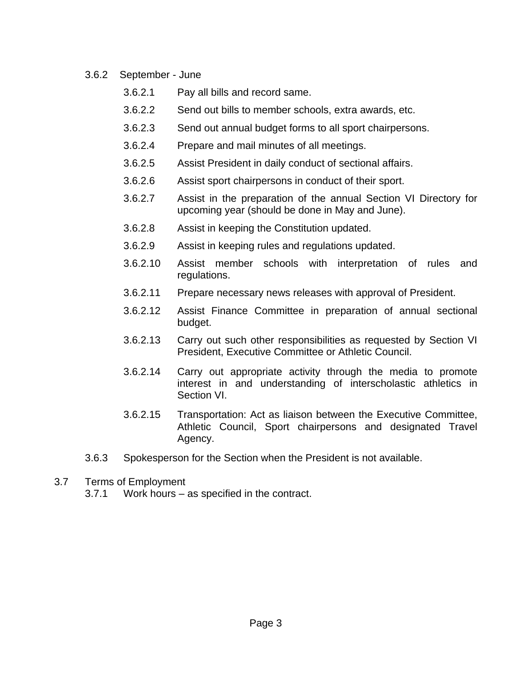- 3.6.2 September June
	- 3.6.2.1 Pay all bills and record same.
	- 3.6.2.2 Send out bills to member schools, extra awards, etc.
	- 3.6.2.3 Send out annual budget forms to all sport chairpersons.
	- 3.6.2.4 Prepare and mail minutes of all meetings.
	- 3.6.2.5 Assist President in daily conduct of sectional affairs.
	- 3.6.2.6 Assist sport chairpersons in conduct of their sport.
	- 3.6.2.7 Assist in the preparation of the annual Section VI Directory for upcoming year (should be done in May and June).
	- 3.6.2.8 Assist in keeping the Constitution updated.
	- 3.6.2.9 Assist in keeping rules and regulations updated.
	- 3.6.2.10 Assist member schools with interpretation of rules and regulations.
	- 3.6.2.11 Prepare necessary news releases with approval of President.
	- 3.6.2.12 Assist Finance Committee in preparation of annual sectional budget.
	- 3.6.2.13 Carry out such other responsibilities as requested by Section VI President, Executive Committee or Athletic Council.
	- 3.6.2.14 Carry out appropriate activity through the media to promote interest in and understanding of interscholastic athletics in Section VI.
	- 3.6.2.15 Transportation: Act as liaison between the Executive Committee, Athletic Council, Sport chairpersons and designated Travel Agency.
- 3.6.3 Spokesperson for the Section when the President is not available.
- 3.7 Terms of Employment
	- 3.7.1 Work hours as specified in the contract.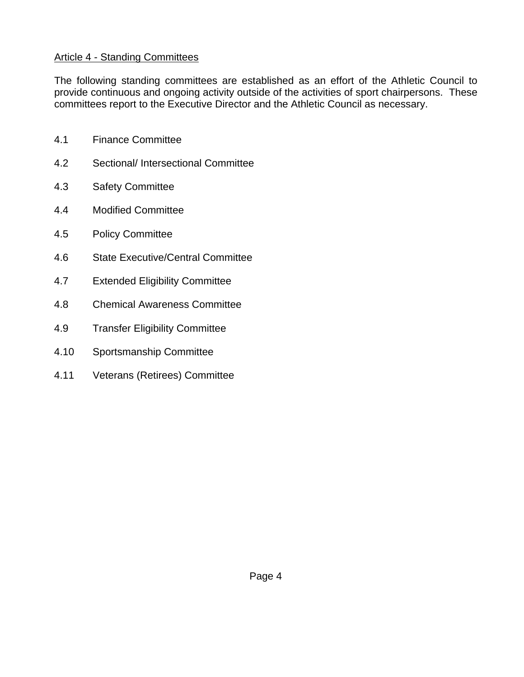### Article 4 - Standing Committees

The following standing committees are established as an effort of the Athletic Council to provide continuous and ongoing activity outside of the activities of sport chairpersons. These committees report to the Executive Director and the Athletic Council as necessary.

- 4.1 Finance Committee
- 4.2 Sectional/ Intersectional Committee
- 4.3 Safety Committee
- 4.4 Modified Committee
- 4.5 Policy Committee
- 4.6 State Executive/Central Committee
- 4.7 Extended Eligibility Committee
- 4.8 Chemical Awareness Committee
- 4.9 Transfer Eligibility Committee
- 4.10 Sportsmanship Committee
- 4.11 Veterans (Retirees) Committee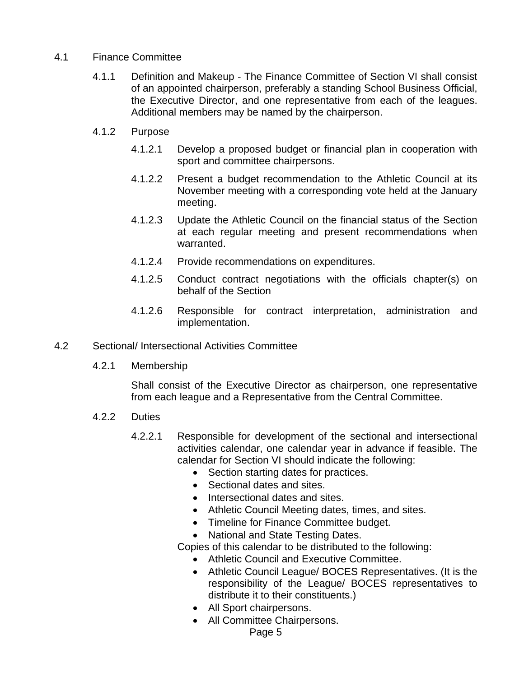#### 4.1 Finance Committee

- 4.1.1 Definition and Makeup The Finance Committee of Section VI shall consist of an appointed chairperson, preferably a standing School Business Official, the Executive Director, and one representative from each of the leagues. Additional members may be named by the chairperson.
- 4.1.2 Purpose
	- 4.1.2.1 Develop a proposed budget or financial plan in cooperation with sport and committee chairpersons.
	- 4.1.2.2 Present a budget recommendation to the Athletic Council at its November meeting with a corresponding vote held at the January meeting.
	- 4.1.2.3 Update the Athletic Council on the financial status of the Section at each regular meeting and present recommendations when warranted.
	- 4.1.2.4 Provide recommendations on expenditures.
	- 4.1.2.5 Conduct contract negotiations with the officials chapter(s) on behalf of the Section
	- 4.1.2.6 Responsible for contract interpretation, administration and implementation.
- 4.2 Sectional/ Intersectional Activities Committee
	- 4.2.1 Membership

Shall consist of the Executive Director as chairperson, one representative from each league and a Representative from the Central Committee.

- 4.2.2 Duties
	- 4.2.2.1 Responsible for development of the sectional and intersectional activities calendar, one calendar year in advance if feasible. The calendar for Section VI should indicate the following:
		- Section starting dates for practices.
		- Sectional dates and sites.
		- Intersectional dates and sites.
		- Athletic Council Meeting dates, times, and sites.
		- Timeline for Finance Committee budget.

• National and State Testing Dates.

Copies of this calendar to be distributed to the following:

- Athletic Council and Executive Committee.
- Athletic Council League/ BOCES Representatives. (It is the responsibility of the League/ BOCES representatives to distribute it to their constituents.)
- All Sport chairpersons.
- All Committee Chairpersons.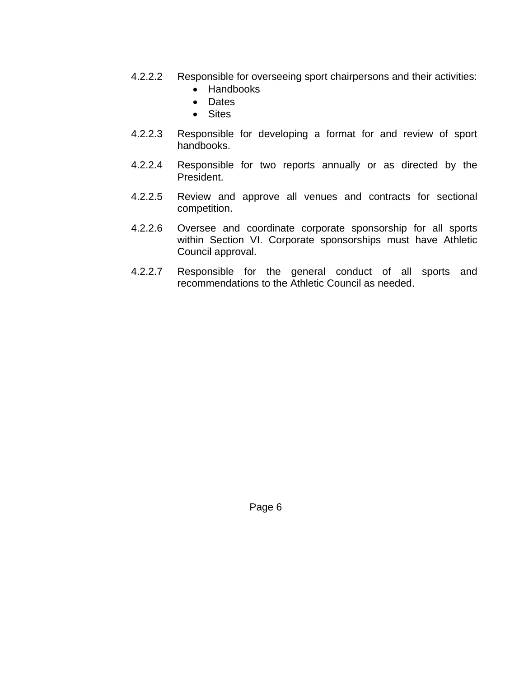- 4.2.2.2 Responsible for overseeing sport chairpersons and their activities:
	- Handbooks
	- Dates
	- Sites
- 4.2.2.3 Responsible for developing a format for and review of sport handbooks.
- 4.2.2.4 Responsible for two reports annually or as directed by the President.
- 4.2.2.5 Review and approve all venues and contracts for sectional competition.
- 4.2.2.6 Oversee and coordinate corporate sponsorship for all sports within Section VI. Corporate sponsorships must have Athletic Council approval.
- 4.2.2.7 Responsible for the general conduct of all sports and recommendations to the Athletic Council as needed.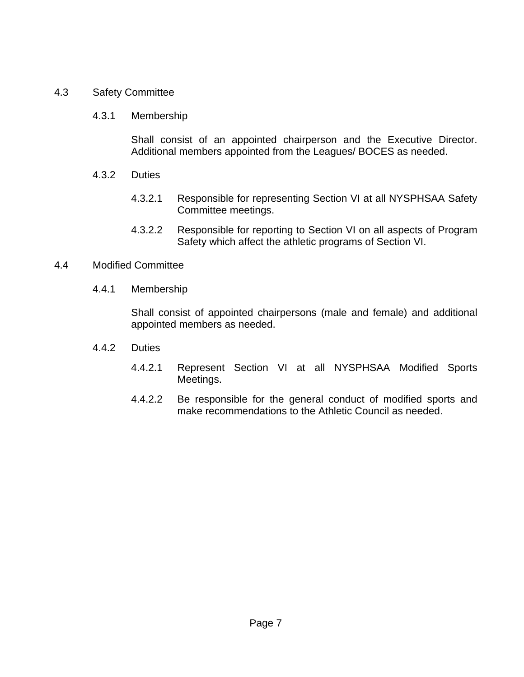#### 4.3 Safety Committee

#### 4.3.1 Membership

Shall consist of an appointed chairperson and the Executive Director. Additional members appointed from the Leagues/ BOCES as needed.

- 4.3.2 Duties
	- 4.3.2.1 Responsible for representing Section VI at all NYSPHSAA Safety Committee meetings.
	- 4.3.2.2 Responsible for reporting to Section VI on all aspects of Program Safety which affect the athletic programs of Section VI.

#### 4.4 Modified Committee

4.4.1 Membership

 Shall consist of appointed chairpersons (male and female) and additional appointed members as needed.

- 4.4.2 Duties
	- 4.4.2.1 Represent Section VI at all NYSPHSAA Modified Sports Meetings.
	- 4.4.2.2 Be responsible for the general conduct of modified sports and make recommendations to the Athletic Council as needed.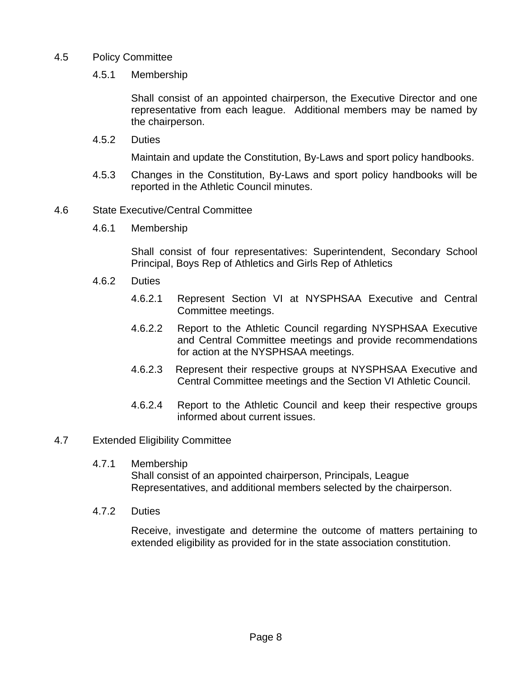#### 4.5 Policy Committee

#### 4.5.1 Membership

Shall consist of an appointed chairperson, the Executive Director and one representative from each league. Additional members may be named by the chairperson.

4.5.2 Duties

Maintain and update the Constitution, By-Laws and sport policy handbooks.

4.5.3 Changes in the Constitution, By-Laws and sport policy handbooks will be reported in the Athletic Council minutes.

#### 4.6 State Executive/Central Committee

4.6.1 Membership

Shall consist of four representatives: Superintendent, Secondary School Principal, Boys Rep of Athletics and Girls Rep of Athletics

- 4.6.2 Duties
	- 4.6.2.1 Represent Section VI at NYSPHSAA Executive and Central Committee meetings.
	- 4.6.2.2 Report to the Athletic Council regarding NYSPHSAA Executive and Central Committee meetings and provide recommendations for action at the NYSPHSAA meetings.
	- 4.6.2.3 Represent their respective groups at NYSPHSAA Executive and Central Committee meetings and the Section VI Athletic Council.
	- 4.6.2.4 Report to the Athletic Council and keep their respective groups informed about current issues.

#### 4.7 Extended Eligibility Committee

4.7.1 Membership

Shall consist of an appointed chairperson, Principals, League Representatives, and additional members selected by the chairperson.

4.7.2 Duties

Receive, investigate and determine the outcome of matters pertaining to extended eligibility as provided for in the state association constitution.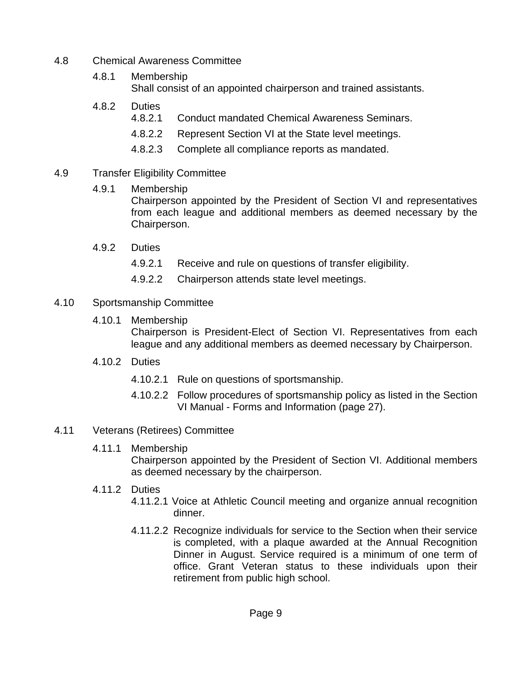- 4.8 Chemical Awareness Committee
	- 4.8.1 Membership Shall consist of an appointed chairperson and trained assistants.
	- 4.8.2 Duties
		- 4.8.2.1 Conduct mandated Chemical Awareness Seminars.
		- 4.8.2.2 Represent Section VI at the State level meetings.
		- 4.8.2.3 Complete all compliance reports as mandated.

## 4.9 Transfer Eligibility Committee

4.9.1 Membership

Chairperson appointed by the President of Section VI and representatives from each league and additional members as deemed necessary by the Chairperson.

- 4.9.2 Duties
	- 4.9.2.1 Receive and rule on questions of transfer eligibility.
	- 4.9.2.2 Chairperson attends state level meetings.
- 4.10 Sportsmanship Committee
	- 4.10.1 Membership

 Chairperson is President-Elect of Section VI. Representatives from each league and any additional members as deemed necessary by Chairperson.

- 4.10.2 Duties
	- 4.10.2.1 Rule on questions of sportsmanship.
	- 4.10.2.2 Follow procedures of sportsmanship policy as listed in the Section VI Manual - Forms and Information (page 27).
- 4.11 Veterans (Retirees) Committee
	- 4.11.1 Membership

Chairperson appointed by the President of Section VI. Additional members as deemed necessary by the chairperson.

- 4.11.2 Duties
	- 4.11.2.1 Voice at Athletic Council meeting and organize annual recognition dinner.
	- 4.11.2.2 Recognize individuals for service to the Section when their service is completed, with a plaque awarded at the Annual Recognition Dinner in August. Service required is a minimum of one term of office. Grant Veteran status to these individuals upon their retirement from public high school.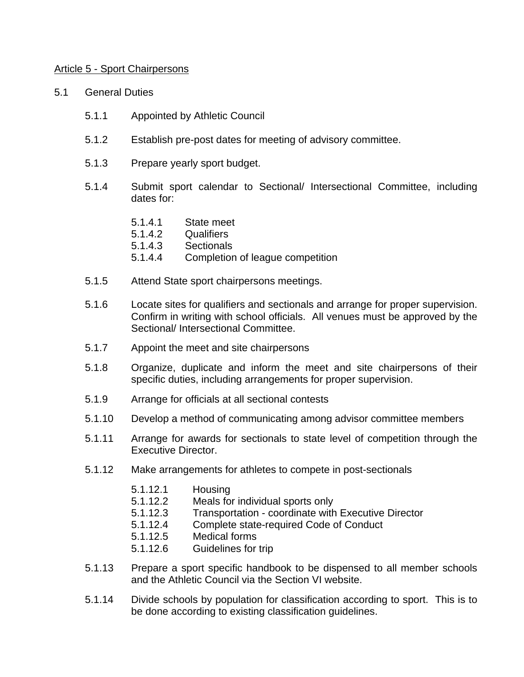#### Article 5 - Sport Chairpersons

- 5.1 General Duties
	- 5.1.1 Appointed by Athletic Council
	- 5.1.2 Establish pre-post dates for meeting of advisory committee.
	- 5.1.3 Prepare yearly sport budget.
	- 5.1.4 Submit sport calendar to Sectional/ Intersectional Committee, including dates for:
		- 5.1.4.1 State meet
		- 5.1.4.2 Qualifiers
		- 5.1.4.3 Sectionals
		- 5.1.4.4 Completion of league competition
	- 5.1.5 Attend State sport chairpersons meetings.
	- 5.1.6 Locate sites for qualifiers and sectionals and arrange for proper supervision. Confirm in writing with school officials. All venues must be approved by the Sectional/ Intersectional Committee.
	- 5.1.7 Appoint the meet and site chairpersons
	- 5.1.8 Organize, duplicate and inform the meet and site chairpersons of their specific duties, including arrangements for proper supervision.
	- 5.1.9 Arrange for officials at all sectional contests
	- 5.1.10 Develop a method of communicating among advisor committee members
	- 5.1.11 Arrange for awards for sectionals to state level of competition through the Executive Director.
	- 5.1.12 Make arrangements for athletes to compete in post-sectionals
		- 5.1.12.1 Housing
		- 5.1.12.2 Meals for individual sports only
		- 5.1.12.3 Transportation coordinate with Executive Director
		- 5.1.12.4 Complete state-required Code of Conduct
		- 5.1.12.5 Medical forms
		- 5.1.12.6 Guidelines for trip
	- 5.1.13 Prepare a sport specific handbook to be dispensed to all member schools and the Athletic Council via the Section VI website.
	- 5.1.14 Divide schools by population for classification according to sport. This is to be done according to existing classification guidelines.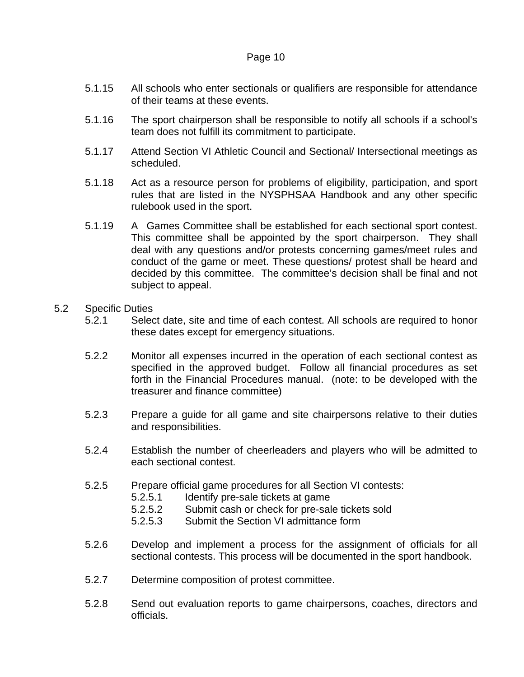- 5.1.15 All schools who enter sectionals or qualifiers are responsible for attendance of their teams at these events.
- 5.1.16 The sport chairperson shall be responsible to notify all schools if a school's team does not fulfill its commitment to participate.
- 5.1.17 Attend Section VI Athletic Council and Sectional/ Intersectional meetings as scheduled.
- 5.1.18 Act as a resource person for problems of eligibility, participation, and sport rules that are listed in the NYSPHSAA Handbook and any other specific rulebook used in the sport.
- 5.1.19 A Games Committee shall be established for each sectional sport contest. This committee shall be appointed by the sport chairperson. They shall deal with any questions and/or protests concerning games/meet rules and conduct of the game or meet. These questions/ protest shall be heard and decided by this committee. The committee's decision shall be final and not subject to appeal.
- 5.2 Specific Duties
	- 5.2.1 Select date, site and time of each contest. All schools are required to honor these dates except for emergency situations.
	- 5.2.2 Monitor all expenses incurred in the operation of each sectional contest as specified in the approved budget. Follow all financial procedures as set forth in the Financial Procedures manual. (note: to be developed with the treasurer and finance committee)
	- 5.2.3 Prepare a guide for all game and site chairpersons relative to their duties and responsibilities.
	- 5.2.4 Establish the number of cheerleaders and players who will be admitted to each sectional contest.
	- 5.2.5 Prepare official game procedures for all Section VI contests:
		- 5.2.5.1 Identify pre-sale tickets at game
		- 5.2.5.2 Submit cash or check for pre-sale tickets sold
		- 5.2.5.3 Submit the Section VI admittance form
	- 5.2.6 Develop and implement a process for the assignment of officials for all sectional contests. This process will be documented in the sport handbook.
	- 5.2.7 Determine composition of protest committee.
	- 5.2.8 Send out evaluation reports to game chairpersons, coaches, directors and officials.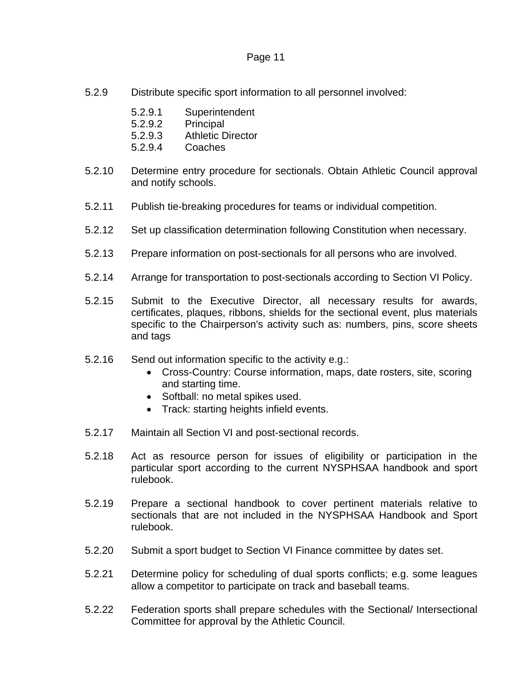- 5.2.9 Distribute specific sport information to all personnel involved:
	- 5.2.9.1 Superintendent
	- 5.2.9.2 Principal
	- 5.2.9.3 Athletic Director
	- 5.2.9.4 Coaches
- 5.2.10 Determine entry procedure for sectionals. Obtain Athletic Council approval and notify schools.
- 5.2.11 Publish tie-breaking procedures for teams or individual competition.
- 5.2.12 Set up classification determination following Constitution when necessary.
- 5.2.13 Prepare information on post-sectionals for all persons who are involved.
- 5.2.14 Arrange for transportation to post-sectionals according to Section VI Policy.
- 5.2.15 Submit to the Executive Director, all necessary results for awards, certificates, plaques, ribbons, shields for the sectional event, plus materials specific to the Chairperson's activity such as: numbers, pins, score sheets and tags
- 5.2.16 Send out information specific to the activity e.g.:
	- Cross-Country: Course information, maps, date rosters, site, scoring and starting time.
	- Softball: no metal spikes used.
	- Track: starting heights infield events.
- 5.2.17 Maintain all Section VI and post-sectional records.
- 5.2.18 Act as resource person for issues of eligibility or participation in the particular sport according to the current NYSPHSAA handbook and sport rulebook.
- 5.2.19 Prepare a sectional handbook to cover pertinent materials relative to sectionals that are not included in the NYSPHSAA Handbook and Sport rulebook.
- 5.2.20 Submit a sport budget to Section VI Finance committee by dates set.
- 5.2.21 Determine policy for scheduling of dual sports conflicts; e.g. some leagues allow a competitor to participate on track and baseball teams.
- 5.2.22 Federation sports shall prepare schedules with the Sectional/ Intersectional Committee for approval by the Athletic Council.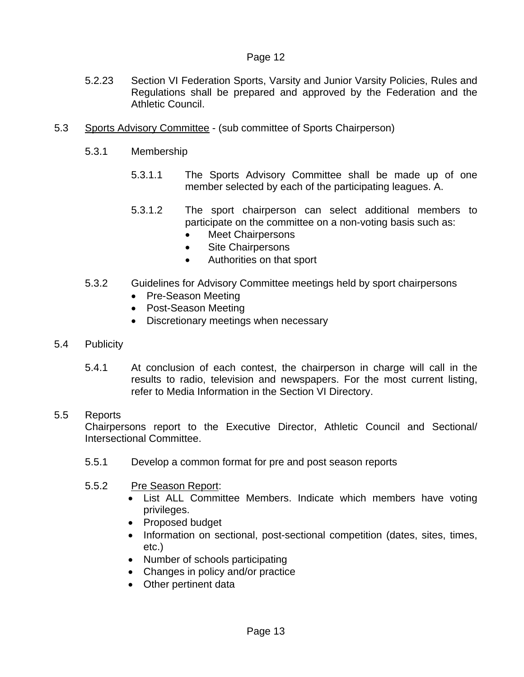- 5.2.23 Section VI Federation Sports, Varsity and Junior Varsity Policies, Rules and Regulations shall be prepared and approved by the Federation and the Athletic Council.
- 5.3 Sports Advisory Committee (sub committee of Sports Chairperson)
	- 5.3.1 Membership
		- 5.3.1.1 The Sports Advisory Committee shall be made up of one member selected by each of the participating leagues. A.
		- 5.3.1.2 The sport chairperson can select additional members to participate on the committee on a non-voting basis such as:
			- **Meet Chairpersons**
			- Site Chairpersons
			- Authorities on that sport
	- 5.3.2 Guidelines for Advisory Committee meetings held by sport chairpersons
		- Pre-Season Meeting
		- Post-Season Meeting
		- Discretionary meetings when necessary
- 5.4 Publicity
	- 5.4.1 At conclusion of each contest, the chairperson in charge will call in the results to radio, television and newspapers. For the most current listing, refer to Media Information in the Section VI Directory.

#### 5.5 Reports

Chairpersons report to the Executive Director, Athletic Council and Sectional/ Intersectional Committee.

- 5.5.1 Develop a common format for pre and post season reports
- 5.5.2 Pre Season Report:
	- List ALL Committee Members. Indicate which members have voting privileges.
	- Proposed budget
	- Information on sectional, post-sectional competition (dates, sites, times, etc.)
	- Number of schools participating
	- Changes in policy and/or practice
	- Other pertinent data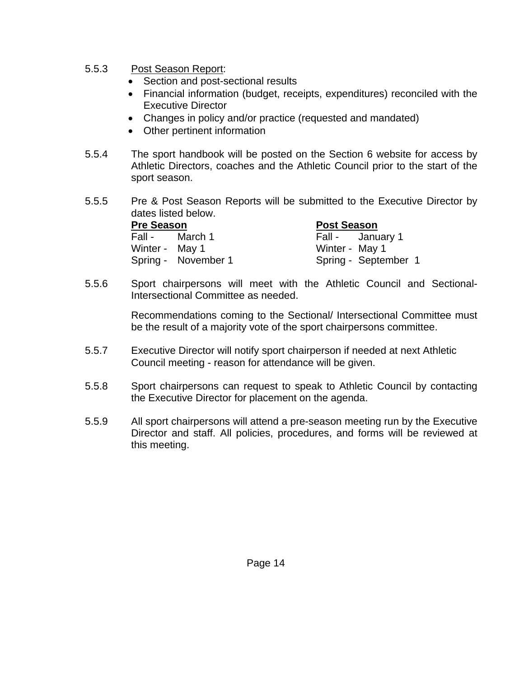- 5.5.3 Post Season Report:
	- Section and post-sectional results
	- Financial information (budget, receipts, expenditures) reconciled with the Executive Director
	- Changes in policy and/or practice (requested and mandated)
	- Other pertinent information
- 5.5.4 The sport handbook will be posted on the Section 6 website for access by Athletic Directors, coaches and the Athletic Council prior to the start of the sport season.
- 5.5.5 Pre & Post Season Reports will be submitted to the Executive Director by dates listed below.

| <b>Pre Season</b> |                     | <b>Post Season</b>   |  |
|-------------------|---------------------|----------------------|--|
|                   | Fall - March 1      | Fall - January 1     |  |
| Winter - May 1    |                     | Winter - May 1       |  |
|                   | Spring - November 1 | Spring - September 1 |  |

 5.5.6 Sport chairpersons will meet with the Athletic Council and Sectional-Intersectional Committee as needed.

> Recommendations coming to the Sectional/ Intersectional Committee must be the result of a majority vote of the sport chairpersons committee.

- 5.5.7 Executive Director will notify sport chairperson if needed at next Athletic Council meeting - reason for attendance will be given.
- 5.5.8 Sport chairpersons can request to speak to Athletic Council by contacting the Executive Director for placement on the agenda.
- 5.5.9 All sport chairpersons will attend a pre-season meeting run by the Executive Director and staff. All policies, procedures, and forms will be reviewed at this meeting.